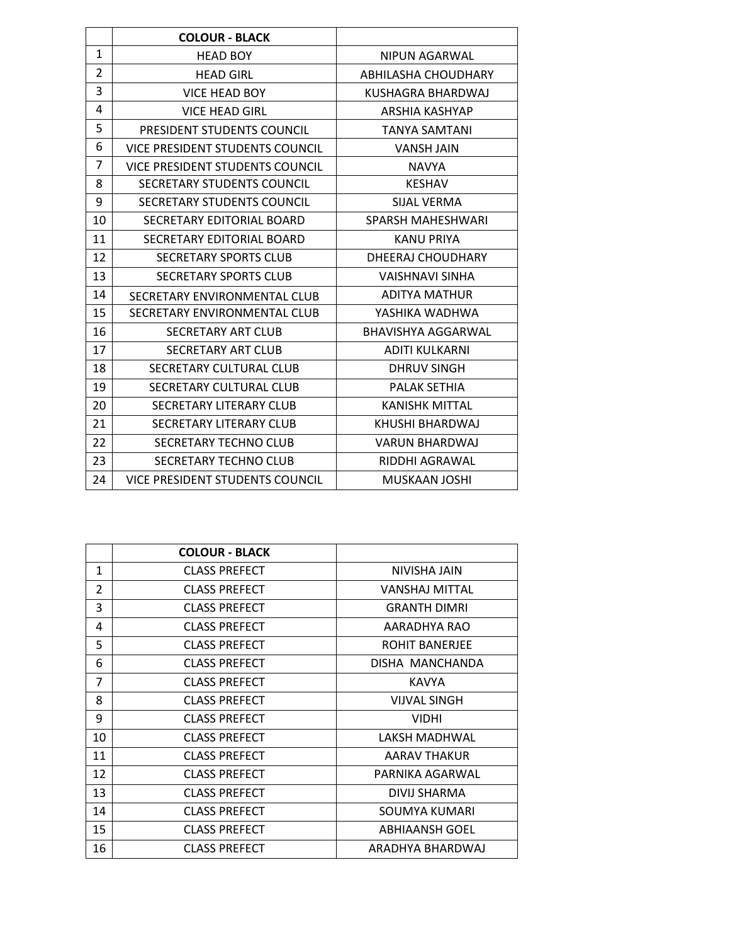|                | <b>COLOUR - BLACK</b>                  |                            |
|----------------|----------------------------------------|----------------------------|
| $\mathbf{1}$   | <b>HEAD BOY</b>                        | NIPUN AGARWAL              |
| $\overline{2}$ | <b>HEAD GIRL</b>                       | <b>ABHILASHA CHOUDHARY</b> |
| 3              | <b>VICE HEAD BOY</b>                   | KUSHAGRA BHARDWAJ          |
| 4              | <b>VICE HEAD GIRL</b>                  | ARSHIA KASHYAP             |
| 5              | PRESIDENT STUDENTS COUNCIL             | <b>TANYA SAMTANI</b>       |
| 6              | VICE PRESIDENT STUDENTS COUNCIL        | <b>VANSH JAIN</b>          |
| 7              | <b>VICE PRESIDENT STUDENTS COUNCIL</b> | <b>NAVYA</b>               |
| 8              | SECRETARY STUDENTS COUNCIL             | <b>KESHAV</b>              |
| 9              | SECRETARY STUDENTS COUNCIL             | SUAL VERMA                 |
| 10             | SECRETARY EDITORIAL BOARD              | SPARSH MAHESHWARI          |
| 11             | SECRETARY EDITORIAL BOARD              | <b>KANU PRIYA</b>          |
| 12             | <b>SECRETARY SPORTS CLUB</b>           | DHEERAJ CHOUDHARY          |
| 13             | <b>SECRETARY SPORTS CLUB</b>           | <b>VAISHNAVI SINHA</b>     |
| 14             | SECRETARY ENVIRONMENTAL CLUB           | <b>ADITYA MATHUR</b>       |
| 15             | SECRETARY ENVIRONMENTAL CLUB           | YASHIKA WADHWA             |
| 16             | SECRETARY ART CLUB                     | BHAVISHYA AGGARWAL         |
| 17             | <b>SECRETARY ART CLUB</b>              | <b>ADITI KULKARNI</b>      |
| 18             | SECRETARY CULTURAL CLUB                | <b>DHRUV SINGH</b>         |
| 19             | SECRETARY CULTURAL CLUB                | <b>PALAK SETHIA</b>        |
| 20             | SECRETARY LITERARY CLUB                | <b>KANISHK MITTAL</b>      |
| 21             | SECRETARY LITERARY CLUB                | KHUSHI BHARDWAJ            |
| 22             | SECRETARY TECHNO CLUB                  | <b>VARUN BHARDWAJ</b>      |
| 23             | <b>SECRETARY TECHNO CLUB</b>           | RIDDHI AGRAWAL             |
| 24             | <b>VICE PRESIDENT STUDENTS COUNCIL</b> | MUSKAAN JOSHI              |
|                |                                        |                            |

|                | <b>COLOUR - BLACK</b> |                       |
|----------------|-----------------------|-----------------------|
| 1              | <b>CLASS PREFECT</b>  | NIVISHA JAIN          |
| 2              | <b>CLASS PREFECT</b>  | <b>VANSHAJ MITTAL</b> |
| 3              | <b>CLASS PREFECT</b>  | <b>GRANTH DIMRI</b>   |
| 4              | <b>CLASS PREFECT</b>  | AARADHYA RAO          |
| 5              | <b>CLASS PREFECT</b>  | <b>ROHIT BANERJEE</b> |
| 6              | <b>CLASS PREFECT</b>  | DISHA MANCHANDA       |
| $\overline{7}$ | <b>CLASS PREFECT</b>  | <b>KAVYA</b>          |
| 8              | <b>CLASS PREFECT</b>  | <b>VIJVAL SINGH</b>   |
| 9              | <b>CLASS PREFECT</b>  | <b>VIDHI</b>          |
| 10             | <b>CLASS PREFECT</b>  | LAKSH MADHWAL         |
| 11             | <b>CLASS PREFECT</b>  | AARAV THAKUR          |
| 12             | <b>CLASS PREFECT</b>  | PARNIKA AGARWAL       |
| 13             | <b>CLASS PREFECT</b>  | DIVIJ SHARMA          |
| 14             | <b>CLASS PREFECT</b>  | SOUMYA KUMARI         |
| 15             | <b>CLASS PREFECT</b>  | ABHIAANSH GOEL        |
| 16             | <b>CLASS PREFECT</b>  | ARADHYA BHARDWAJ      |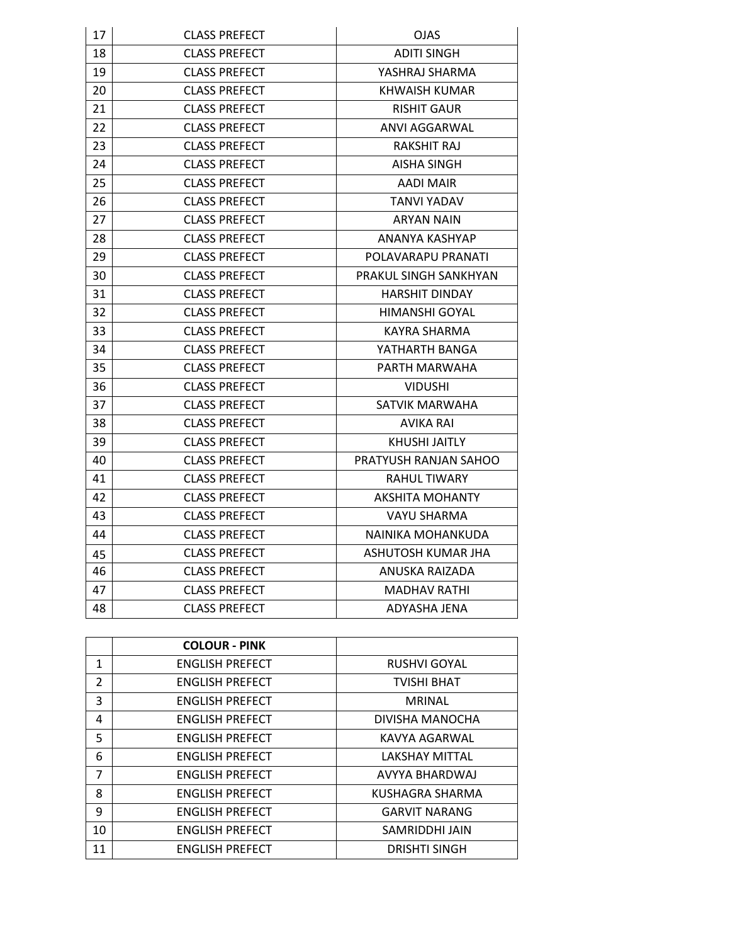| 17 | <b>CLASS PREFECT</b> | <b>OJAS</b>           |
|----|----------------------|-----------------------|
| 18 | <b>CLASS PREFECT</b> | <b>ADITI SINGH</b>    |
| 19 | <b>CLASS PREFECT</b> | YASHRAJ SHARMA        |
| 20 | <b>CLASS PREFECT</b> | KHWAISH KUMAR         |
| 21 | <b>CLASS PREFECT</b> | <b>RISHIT GAUR</b>    |
| 22 | <b>CLASS PREFECT</b> | ANVI AGGARWAL         |
| 23 | <b>CLASS PREFECT</b> | RAKSHIT RAJ           |
| 24 | <b>CLASS PREFECT</b> | AISHA SINGH           |
| 25 | <b>CLASS PREFECT</b> | AADI MAIR             |
| 26 | <b>CLASS PREFECT</b> | TANVI YADAV           |
| 27 | <b>CLASS PREFECT</b> | ARYAN NAIN            |
| 28 | <b>CLASS PREFECT</b> | ANANYA KASHYAP        |
| 29 | <b>CLASS PREFECT</b> | POLAVARAPU PRANATI    |
| 30 | <b>CLASS PREFECT</b> | PRAKUL SINGH SANKHYAN |
| 31 | <b>CLASS PREFECT</b> | <b>HARSHIT DINDAY</b> |
| 32 | <b>CLASS PREFECT</b> | <b>HIMANSHI GOYAL</b> |
| 33 | <b>CLASS PREFECT</b> | KAYRA SHARMA          |
| 34 | <b>CLASS PREFECT</b> | YATHARTH BANGA        |
| 35 | <b>CLASS PREFECT</b> | PARTH MARWAHA         |
| 36 | <b>CLASS PREFECT</b> | <b>VIDUSHI</b>        |
| 37 | <b>CLASS PREFECT</b> | SATVIK MARWAHA        |
| 38 | <b>CLASS PREFECT</b> | AVIKA RAI             |
| 39 | <b>CLASS PREFECT</b> | <b>KHUSHI JAITLY</b>  |
| 40 | <b>CLASS PREFECT</b> | PRATYUSH RANJAN SAHOO |
| 41 | <b>CLASS PREFECT</b> | RAHUL TIWARY          |
| 42 | <b>CLASS PREFECT</b> | AKSHITA MOHANTY       |
| 43 | <b>CLASS PREFECT</b> | VAYU SHARMA           |
| 44 | <b>CLASS PREFECT</b> | NAINIKA MOHANKUDA     |
| 45 | <b>CLASS PREFECT</b> | ASHUTOSH KUMAR JHA    |
| 46 | <b>CLASS PREFECT</b> | ANUSKA RAIZADA        |
| 47 | <b>CLASS PREFECT</b> | MADHAV RATHI          |
| 48 | <b>CLASS PREFECT</b> | ADYASHA JENA          |

|                | <b>COLOUR - PINK</b>   |                       |
|----------------|------------------------|-----------------------|
| $\mathbf{1}$   | <b>ENGLISH PREFECT</b> | <b>RUSHVI GOYAL</b>   |
| $\overline{2}$ | <b>ENGLISH PREFECT</b> | <b>TVISHI BHAT</b>    |
| 3              | <b>ENGLISH PREFECT</b> | <b>MRINAL</b>         |
| 4              | <b>ENGLISH PREFECT</b> | DIVISHA MANOCHA       |
| 5              | <b>ENGLISH PREFECT</b> | KAVYA AGARWAL         |
| 6              | <b>ENGLISH PREFECT</b> | <b>LAKSHAY MITTAL</b> |
| $\overline{7}$ | <b>ENGLISH PREFECT</b> | AVYYA BHARDWAJ        |
| 8              | <b>ENGLISH PREFECT</b> | KUSHAGRA SHARMA       |
| 9              | <b>ENGLISH PREFECT</b> | <b>GARVIT NARANG</b>  |
| 10             | <b>ENGLISH PREFECT</b> | SAMRIDDHI JAIN        |
| 11             | <b>ENGLISH PREFECT</b> | <b>DRISHTI SINGH</b>  |